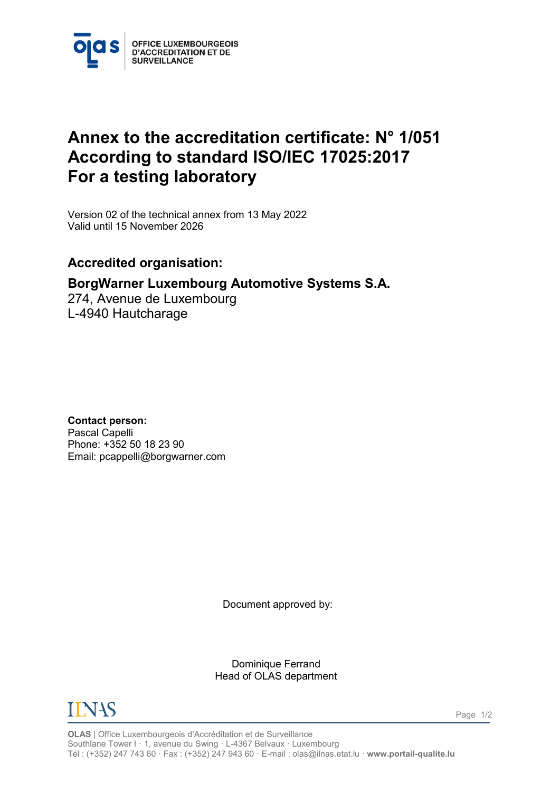

## **Annex to the accreditation certificate: N° 1/051 According to standard ISO/IEC 17025:2017 For a testing laboratory**

<span id="page-0-1"></span><span id="page-0-0"></span>Version 02 of the technical annex from 13 May 2022 Valid until 15 November 2026

## **Accredited organisation:**

## **BorgWarner Luxembourg Automotive Systems S.A.**

274, Avenue de Luxembourg L-4940 Hautcharage

**Contact person:** Pascal Capelli Phone: +352 50 18 23 90 Email: pcappelli@borgwarner.com

Document approved by:

Dominique Ferrand Head of OLAS department



**OLAS** | Office Luxembourgeois d'Accréditation et de Surveillance Southlane Tower I · 1, avenue du Swing · L-4367 Belvaux · Luxembourg Tél : (+352) 247 743 60 · Fax : (+352) 247 943 60 · E-mail : olas@ilnas.etat.lu · **www.portail-qualite.lu**

Page 1/2